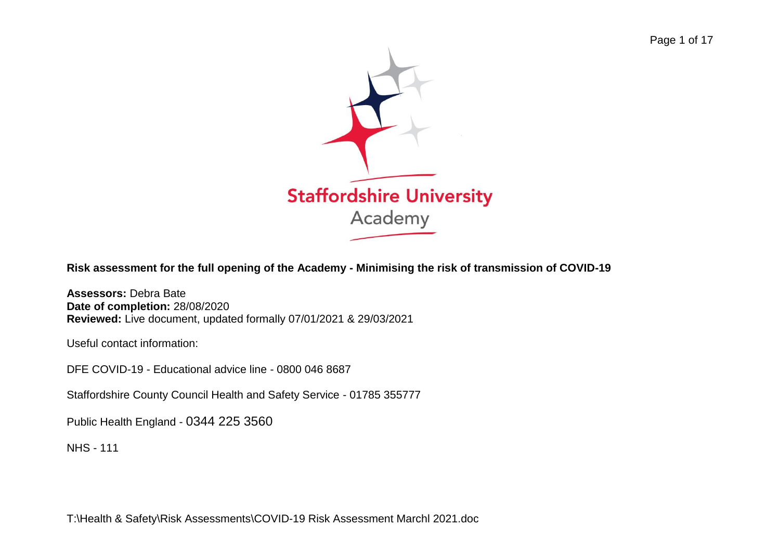

**Risk assessment for the full opening of the Academy - Minimising the risk of transmission of COVID-19**

**Assessors:** Debra Bate **Date of completion:** 28/08/2020 **Reviewed:** Live document, updated formally 07/01/2021 & 29/03/2021

Useful contact information:

DFE COVID-19 - Educational advice line - 0800 046 8687

Staffordshire County Council Health and Safety Service - [01785 355777](tel:01785355777)

Public Health England - 0344 225 3560

NHS - 111

T:\Health & Safety\Risk Assessments\COVID-19 Risk Assessment Marchl 2021.doc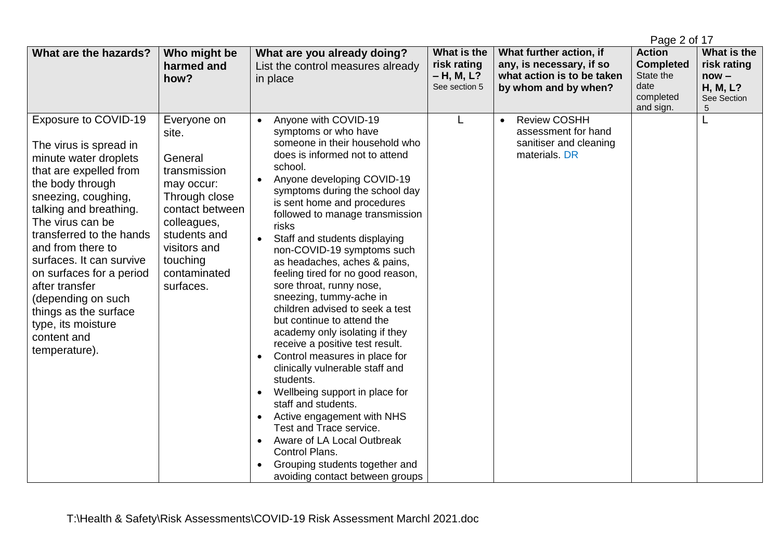|                                                                                                                                                                                                                                                                                                                                                                                                                            |                                                                                                                                                                                           |                                                                                                                                                                                                                                                                                                                                                                                                                                                                                                                                                                                                                                                                                                                                                                                                                                                                                                                                                                        |                                                           |                                                                                                           | Page 2 of 17                                                                     |                                                                       |
|----------------------------------------------------------------------------------------------------------------------------------------------------------------------------------------------------------------------------------------------------------------------------------------------------------------------------------------------------------------------------------------------------------------------------|-------------------------------------------------------------------------------------------------------------------------------------------------------------------------------------------|------------------------------------------------------------------------------------------------------------------------------------------------------------------------------------------------------------------------------------------------------------------------------------------------------------------------------------------------------------------------------------------------------------------------------------------------------------------------------------------------------------------------------------------------------------------------------------------------------------------------------------------------------------------------------------------------------------------------------------------------------------------------------------------------------------------------------------------------------------------------------------------------------------------------------------------------------------------------|-----------------------------------------------------------|-----------------------------------------------------------------------------------------------------------|----------------------------------------------------------------------------------|-----------------------------------------------------------------------|
| What are the hazards?                                                                                                                                                                                                                                                                                                                                                                                                      | Who might be<br>harmed and<br>how?                                                                                                                                                        | What are you already doing?<br>List the control measures already<br>in place                                                                                                                                                                                                                                                                                                                                                                                                                                                                                                                                                                                                                                                                                                                                                                                                                                                                                           | What is the<br>risk rating<br>- H, M, L?<br>See section 5 | What further action, if<br>any, is necessary, if so<br>what action is to be taken<br>by whom and by when? | <b>Action</b><br><b>Completed</b><br>State the<br>date<br>completed<br>and sign. | What is the<br>risk rating<br>$now -$<br>H, M, L?<br>See Section<br>5 |
| Exposure to COVID-19<br>The virus is spread in<br>minute water droplets<br>that are expelled from<br>the body through<br>sneezing, coughing,<br>talking and breathing.<br>The virus can be<br>transferred to the hands<br>and from there to<br>surfaces. It can survive<br>on surfaces for a period<br>after transfer<br>(depending on such<br>things as the surface<br>type, its moisture<br>content and<br>temperature). | Everyone on<br>site.<br>General<br>transmission<br>may occur:<br>Through close<br>contact between<br>colleagues,<br>students and<br>visitors and<br>touching<br>contaminated<br>surfaces. | Anyone with COVID-19<br>symptoms or who have<br>someone in their household who<br>does is informed not to attend<br>school.<br>Anyone developing COVID-19<br>symptoms during the school day<br>is sent home and procedures<br>followed to manage transmission<br>risks<br>Staff and students displaying<br>non-COVID-19 symptoms such<br>as headaches, aches & pains,<br>feeling tired for no good reason,<br>sore throat, runny nose,<br>sneezing, tummy-ache in<br>children advised to seek a test<br>but continue to attend the<br>academy only isolating if they<br>receive a positive test result.<br>Control measures in place for<br>clinically vulnerable staff and<br>students.<br>Wellbeing support in place for<br>$\bullet$<br>staff and students.<br>Active engagement with NHS<br>$\bullet$<br>Test and Trace service.<br>Aware of LA Local Outbreak<br>$\bullet$<br>Control Plans.<br>Grouping students together and<br>avoiding contact between groups | L                                                         | <b>Review COSHH</b><br>$\bullet$<br>assessment for hand<br>sanitiser and cleaning<br>materials, DR        |                                                                                  |                                                                       |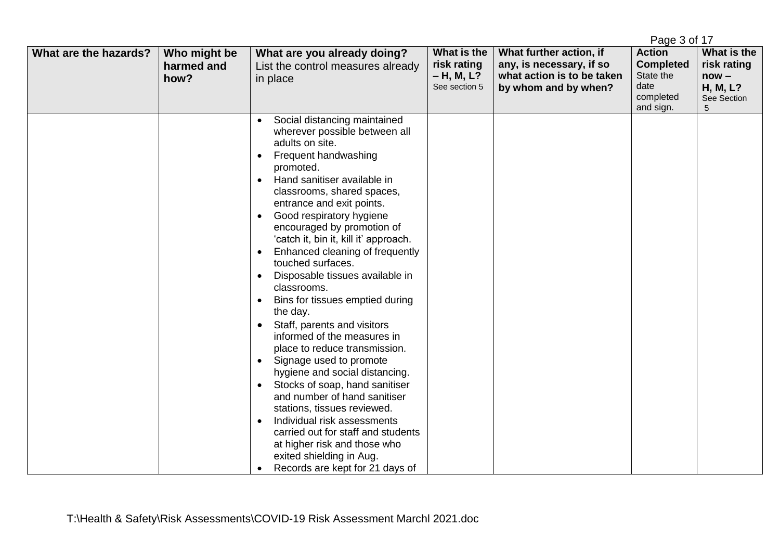|                       |                            |                                                                                                                                                                                                                                                                                                                                                                                                                                                                                                                                                                                                                                                                                                                            |                            |                                                     | Page 3 of 17                      |                            |
|-----------------------|----------------------------|----------------------------------------------------------------------------------------------------------------------------------------------------------------------------------------------------------------------------------------------------------------------------------------------------------------------------------------------------------------------------------------------------------------------------------------------------------------------------------------------------------------------------------------------------------------------------------------------------------------------------------------------------------------------------------------------------------------------------|----------------------------|-----------------------------------------------------|-----------------------------------|----------------------------|
| What are the hazards? | Who might be<br>harmed and | What are you already doing?<br>List the control measures already                                                                                                                                                                                                                                                                                                                                                                                                                                                                                                                                                                                                                                                           | What is the<br>risk rating | What further action, if<br>any, is necessary, if so | <b>Action</b><br><b>Completed</b> | What is the<br>risk rating |
|                       | how?                       | in place                                                                                                                                                                                                                                                                                                                                                                                                                                                                                                                                                                                                                                                                                                                   | $- H, M, L?$               | what action is to be taken                          | State the                         | $now -$                    |
|                       |                            |                                                                                                                                                                                                                                                                                                                                                                                                                                                                                                                                                                                                                                                                                                                            | See section 5              | by whom and by when?                                | date<br>completed                 | <b>H, M, L?</b>            |
|                       |                            |                                                                                                                                                                                                                                                                                                                                                                                                                                                                                                                                                                                                                                                                                                                            |                            |                                                     |                                   | See Section                |
|                       |                            | Social distancing maintained<br>$\bullet$<br>wherever possible between all<br>adults on site.<br>Frequent handwashing<br>$\bullet$<br>promoted.<br>Hand sanitiser available in<br>$\bullet$<br>classrooms, shared spaces,<br>entrance and exit points.<br>Good respiratory hygiene<br>$\bullet$<br>encouraged by promotion of<br>'catch it, bin it, kill it' approach.<br>Enhanced cleaning of frequently<br>$\bullet$<br>touched surfaces.<br>Disposable tissues available in<br>$\bullet$<br>classrooms.<br>Bins for tissues emptied during<br>$\bullet$<br>the day.<br>Staff, parents and visitors<br>$\bullet$<br>informed of the measures in<br>place to reduce transmission.<br>Signage used to promote<br>$\bullet$ |                            |                                                     | and sign.                         | 5                          |
|                       |                            | hygiene and social distancing.<br>Stocks of soap, hand sanitiser<br>$\bullet$<br>and number of hand sanitiser                                                                                                                                                                                                                                                                                                                                                                                                                                                                                                                                                                                                              |                            |                                                     |                                   |                            |
|                       |                            | stations, tissues reviewed.                                                                                                                                                                                                                                                                                                                                                                                                                                                                                                                                                                                                                                                                                                |                            |                                                     |                                   |                            |
|                       |                            | Individual risk assessments<br>$\bullet$                                                                                                                                                                                                                                                                                                                                                                                                                                                                                                                                                                                                                                                                                   |                            |                                                     |                                   |                            |
|                       |                            | carried out for staff and students                                                                                                                                                                                                                                                                                                                                                                                                                                                                                                                                                                                                                                                                                         |                            |                                                     |                                   |                            |
|                       |                            | at higher risk and those who                                                                                                                                                                                                                                                                                                                                                                                                                                                                                                                                                                                                                                                                                               |                            |                                                     |                                   |                            |
|                       |                            | exited shielding in Aug.                                                                                                                                                                                                                                                                                                                                                                                                                                                                                                                                                                                                                                                                                                   |                            |                                                     |                                   |                            |
|                       |                            | Records are kept for 21 days of<br>$\bullet$                                                                                                                                                                                                                                                                                                                                                                                                                                                                                                                                                                                                                                                                               |                            |                                                     |                                   |                            |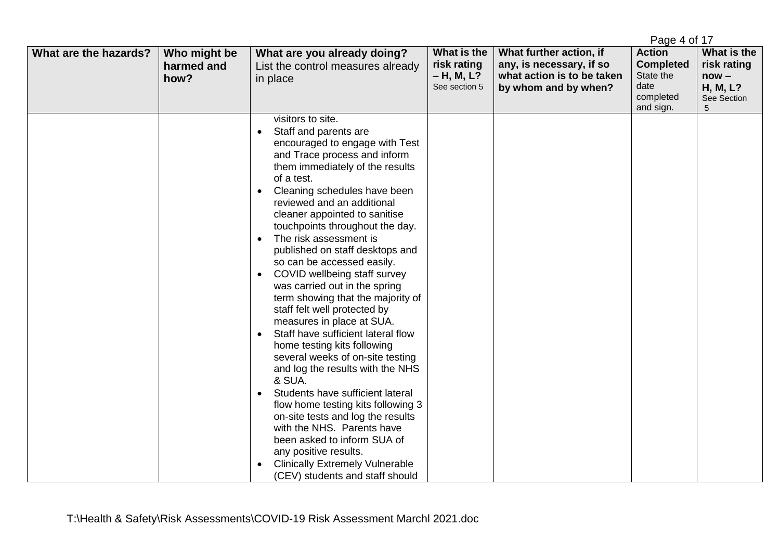|                       |                                    |                                                                                                                                                                                                                                                                                                                                                                                                                                                                                                                                                                                                                                                                                                                                                                                                                                                                                                                                                                                                                                                                                      |                                                             |                                                                                                           | Page 4 of 17                                                                     |                                                                       |
|-----------------------|------------------------------------|--------------------------------------------------------------------------------------------------------------------------------------------------------------------------------------------------------------------------------------------------------------------------------------------------------------------------------------------------------------------------------------------------------------------------------------------------------------------------------------------------------------------------------------------------------------------------------------------------------------------------------------------------------------------------------------------------------------------------------------------------------------------------------------------------------------------------------------------------------------------------------------------------------------------------------------------------------------------------------------------------------------------------------------------------------------------------------------|-------------------------------------------------------------|-----------------------------------------------------------------------------------------------------------|----------------------------------------------------------------------------------|-----------------------------------------------------------------------|
| What are the hazards? | Who might be<br>harmed and<br>how? | What are you already doing?<br>List the control measures already<br>in place                                                                                                                                                                                                                                                                                                                                                                                                                                                                                                                                                                                                                                                                                                                                                                                                                                                                                                                                                                                                         | What is the<br>risk rating<br>$- H, M, L?$<br>See section 5 | What further action, if<br>any, is necessary, if so<br>what action is to be taken<br>by whom and by when? | <b>Action</b><br><b>Completed</b><br>State the<br>date<br>completed<br>and sign. | What is the<br>risk rating<br>$now -$<br>H, M, L?<br>See Section<br>5 |
|                       |                                    | visitors to site.<br>Staff and parents are<br>$\bullet$<br>encouraged to engage with Test<br>and Trace process and inform<br>them immediately of the results<br>of a test.<br>Cleaning schedules have been<br>$\bullet$<br>reviewed and an additional<br>cleaner appointed to sanitise<br>touchpoints throughout the day.<br>The risk assessment is<br>$\bullet$<br>published on staff desktops and<br>so can be accessed easily.<br>COVID wellbeing staff survey<br>$\bullet$<br>was carried out in the spring<br>term showing that the majority of<br>staff felt well protected by<br>measures in place at SUA.<br>Staff have sufficient lateral flow<br>$\bullet$<br>home testing kits following<br>several weeks of on-site testing<br>and log the results with the NHS<br>& SUA.<br>Students have sufficient lateral<br>$\bullet$<br>flow home testing kits following 3<br>on-site tests and log the results<br>with the NHS. Parents have<br>been asked to inform SUA of<br>any positive results.<br><b>Clinically Extremely Vulnerable</b><br>(CEV) students and staff should |                                                             |                                                                                                           |                                                                                  |                                                                       |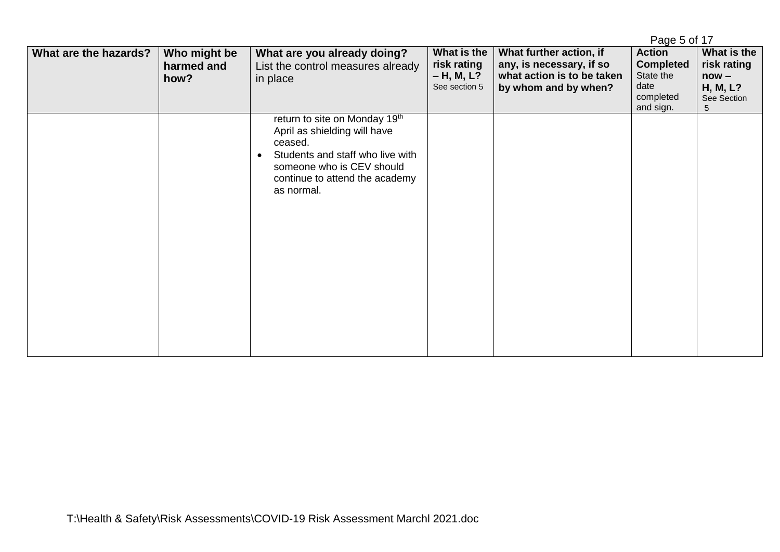|                       |                                    |                                                                                                                                                                                                        |                                                             |                                                                                                           | Page 5 of 17                                                                     |                                                                       |
|-----------------------|------------------------------------|--------------------------------------------------------------------------------------------------------------------------------------------------------------------------------------------------------|-------------------------------------------------------------|-----------------------------------------------------------------------------------------------------------|----------------------------------------------------------------------------------|-----------------------------------------------------------------------|
| What are the hazards? | Who might be<br>harmed and<br>how? | What are you already doing?<br>List the control measures already<br>in place                                                                                                                           | What is the<br>risk rating<br>$- H, M, L?$<br>See section 5 | What further action, if<br>any, is necessary, if so<br>what action is to be taken<br>by whom and by when? | <b>Action</b><br><b>Completed</b><br>State the<br>date<br>completed<br>and sign. | What is the<br>risk rating<br>$now -$<br>H, M, L?<br>See Section<br>5 |
|                       |                                    | return to site on Monday 19th<br>April as shielding will have<br>ceased.<br>Students and staff who live with<br>$\bullet$<br>someone who is CEV should<br>continue to attend the academy<br>as normal. |                                                             |                                                                                                           |                                                                                  |                                                                       |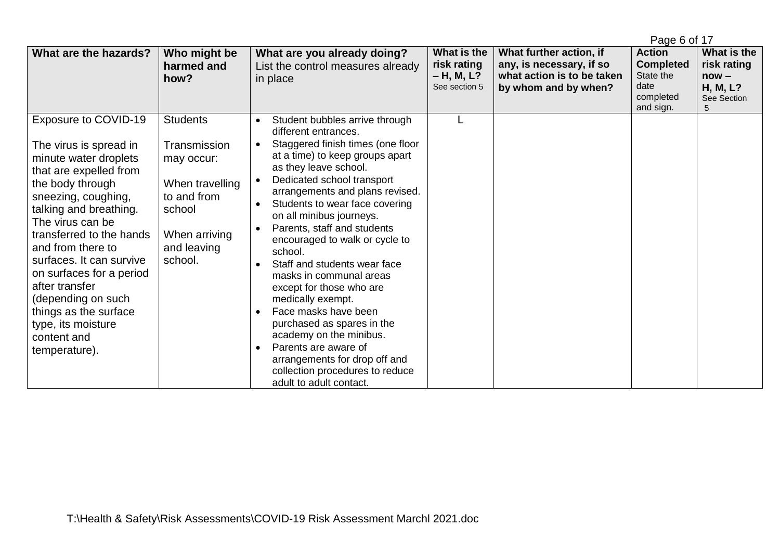|                                                                                                                                                                                                                                                                                                                                                                                                                            |                                                                                                                                      |                                                                                                                                                                                                                                                                                                                                                                                                                                                                                                                                                                                                                                                                                                                                                         |                                                           |                                                                                                           | Page 6 of 17                                                                     |                                                                       |
|----------------------------------------------------------------------------------------------------------------------------------------------------------------------------------------------------------------------------------------------------------------------------------------------------------------------------------------------------------------------------------------------------------------------------|--------------------------------------------------------------------------------------------------------------------------------------|---------------------------------------------------------------------------------------------------------------------------------------------------------------------------------------------------------------------------------------------------------------------------------------------------------------------------------------------------------------------------------------------------------------------------------------------------------------------------------------------------------------------------------------------------------------------------------------------------------------------------------------------------------------------------------------------------------------------------------------------------------|-----------------------------------------------------------|-----------------------------------------------------------------------------------------------------------|----------------------------------------------------------------------------------|-----------------------------------------------------------------------|
| What are the hazards?                                                                                                                                                                                                                                                                                                                                                                                                      | Who might be<br>harmed and<br>how?                                                                                                   | What are you already doing?<br>List the control measures already<br>in place                                                                                                                                                                                                                                                                                                                                                                                                                                                                                                                                                                                                                                                                            | What is the<br>risk rating<br>– H, M, L?<br>See section 5 | What further action, if<br>any, is necessary, if so<br>what action is to be taken<br>by whom and by when? | <b>Action</b><br><b>Completed</b><br>State the<br>date<br>completed<br>and sign. | What is the<br>risk rating<br>$now -$<br>H, M, L?<br>See Section<br>5 |
| Exposure to COVID-19<br>The virus is spread in<br>minute water droplets<br>that are expelled from<br>the body through<br>sneezing, coughing,<br>talking and breathing.<br>The virus can be<br>transferred to the hands<br>and from there to<br>surfaces. It can survive<br>on surfaces for a period<br>after transfer<br>(depending on such<br>things as the surface<br>type, its moisture<br>content and<br>temperature). | <b>Students</b><br>Transmission<br>may occur:<br>When travelling<br>to and from<br>school<br>When arriving<br>and leaving<br>school. | Student bubbles arrive through<br>$\bullet$<br>different entrances.<br>Staggered finish times (one floor<br>at a time) to keep groups apart<br>as they leave school.<br>Dedicated school transport<br>arrangements and plans revised.<br>Students to wear face covering<br>$\bullet$<br>on all minibus journeys.<br>Parents, staff and students<br>encouraged to walk or cycle to<br>school.<br>Staff and students wear face<br>$\bullet$<br>masks in communal areas<br>except for those who are<br>medically exempt.<br>Face masks have been<br>$\bullet$<br>purchased as spares in the<br>academy on the minibus.<br>Parents are aware of<br>$\bullet$<br>arrangements for drop off and<br>collection procedures to reduce<br>adult to adult contact. |                                                           |                                                                                                           |                                                                                  |                                                                       |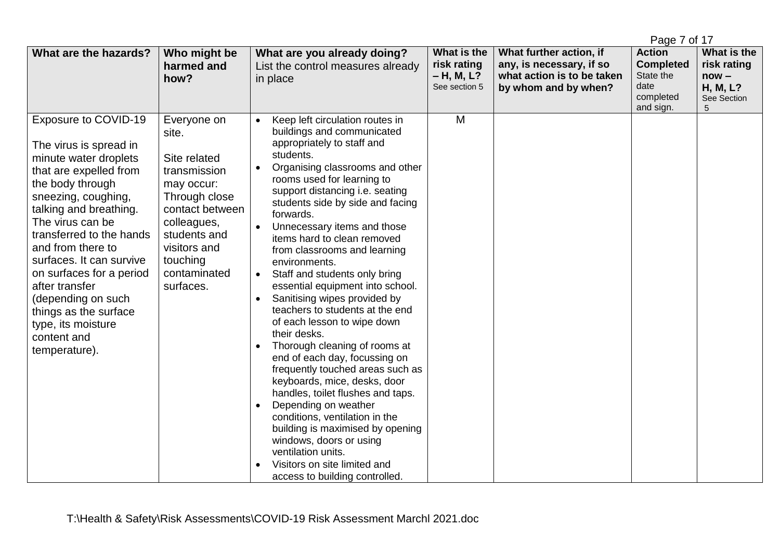|                                                                                                                                                                                                                                                                                                                                                                                                                            |                                                                                                                                                                                                |                                                                                                                                                                                                                                                                                                                                                                                                                                                                                                                                                                                                                                                                                                                                                                                                                                                                                                                                                                              |                                                             |                                                                                                           | Page 7 of 17                                                                     |                                                                       |
|----------------------------------------------------------------------------------------------------------------------------------------------------------------------------------------------------------------------------------------------------------------------------------------------------------------------------------------------------------------------------------------------------------------------------|------------------------------------------------------------------------------------------------------------------------------------------------------------------------------------------------|------------------------------------------------------------------------------------------------------------------------------------------------------------------------------------------------------------------------------------------------------------------------------------------------------------------------------------------------------------------------------------------------------------------------------------------------------------------------------------------------------------------------------------------------------------------------------------------------------------------------------------------------------------------------------------------------------------------------------------------------------------------------------------------------------------------------------------------------------------------------------------------------------------------------------------------------------------------------------|-------------------------------------------------------------|-----------------------------------------------------------------------------------------------------------|----------------------------------------------------------------------------------|-----------------------------------------------------------------------|
| What are the hazards?                                                                                                                                                                                                                                                                                                                                                                                                      | Who might be<br>harmed and<br>how?                                                                                                                                                             | What are you already doing?<br>List the control measures already<br>in place                                                                                                                                                                                                                                                                                                                                                                                                                                                                                                                                                                                                                                                                                                                                                                                                                                                                                                 | What is the<br>risk rating<br>$- H, M, L?$<br>See section 5 | What further action, if<br>any, is necessary, if so<br>what action is to be taken<br>by whom and by when? | <b>Action</b><br><b>Completed</b><br>State the<br>date<br>completed<br>and sign. | What is the<br>risk rating<br>$now -$<br>H, M, L?<br>See Section<br>5 |
| Exposure to COVID-19<br>The virus is spread in<br>minute water droplets<br>that are expelled from<br>the body through<br>sneezing, coughing,<br>talking and breathing.<br>The virus can be<br>transferred to the hands<br>and from there to<br>surfaces. It can survive<br>on surfaces for a period<br>after transfer<br>(depending on such<br>things as the surface<br>type, its moisture<br>content and<br>temperature). | Everyone on<br>site.<br>Site related<br>transmission<br>may occur:<br>Through close<br>contact between<br>colleagues,<br>students and<br>visitors and<br>touching<br>contaminated<br>surfaces. | Keep left circulation routes in<br>buildings and communicated<br>appropriately to staff and<br>students.<br>Organising classrooms and other<br>$\bullet$<br>rooms used for learning to<br>support distancing i.e. seating<br>students side by side and facing<br>forwards.<br>Unnecessary items and those<br>items hard to clean removed<br>from classrooms and learning<br>environments.<br>Staff and students only bring<br>essential equipment into school.<br>Sanitising wipes provided by<br>teachers to students at the end<br>of each lesson to wipe down<br>their desks.<br>Thorough cleaning of rooms at<br>end of each day, focussing on<br>frequently touched areas such as<br>keyboards, mice, desks, door<br>handles, toilet flushes and taps.<br>Depending on weather<br>conditions, ventilation in the<br>building is maximised by opening<br>windows, doors or using<br>ventilation units.<br>Visitors on site limited and<br>access to building controlled. | M                                                           |                                                                                                           |                                                                                  |                                                                       |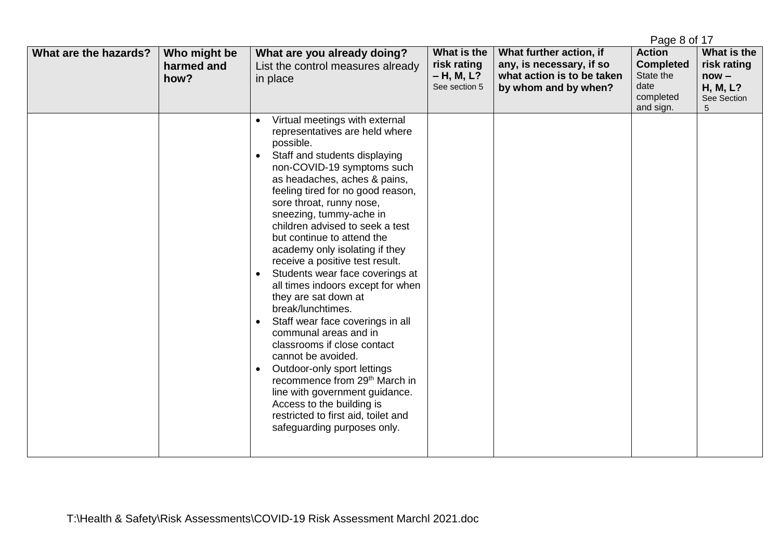|                       |                                    |                                                                                                                                                                                                                                                                                                                                                                                                                                                                                                                                                                                                                                                                                                                                                                                                                                                                                                  | Page 8 of 17                                                |                                                                                                           |                                                                                  |                                                                              |
|-----------------------|------------------------------------|--------------------------------------------------------------------------------------------------------------------------------------------------------------------------------------------------------------------------------------------------------------------------------------------------------------------------------------------------------------------------------------------------------------------------------------------------------------------------------------------------------------------------------------------------------------------------------------------------------------------------------------------------------------------------------------------------------------------------------------------------------------------------------------------------------------------------------------------------------------------------------------------------|-------------------------------------------------------------|-----------------------------------------------------------------------------------------------------------|----------------------------------------------------------------------------------|------------------------------------------------------------------------------|
| What are the hazards? | Who might be<br>harmed and<br>how? | What are you already doing?<br>List the control measures already<br>in place                                                                                                                                                                                                                                                                                                                                                                                                                                                                                                                                                                                                                                                                                                                                                                                                                     | What is the<br>risk rating<br>$- H, M, L?$<br>See section 5 | What further action, if<br>any, is necessary, if so<br>what action is to be taken<br>by whom and by when? | <b>Action</b><br><b>Completed</b><br>State the<br>date<br>completed<br>and sign. | What is the<br>risk rating<br>$now -$<br><b>H, M, L?</b><br>See Section<br>5 |
|                       |                                    | Virtual meetings with external<br>representatives are held where<br>possible.<br>Staff and students displaying<br>non-COVID-19 symptoms such<br>as headaches, aches & pains,<br>feeling tired for no good reason,<br>sore throat, runny nose,<br>sneezing, tummy-ache in<br>children advised to seek a test<br>but continue to attend the<br>academy only isolating if they<br>receive a positive test result.<br>Students wear face coverings at<br>$\bullet$<br>all times indoors except for when<br>they are sat down at<br>break/lunchtimes.<br>Staff wear face coverings in all<br>communal areas and in<br>classrooms if close contact<br>cannot be avoided.<br>Outdoor-only sport lettings<br>$\bullet$<br>recommence from 29 <sup>th</sup> March in<br>line with government guidance.<br>Access to the building is<br>restricted to first aid, toilet and<br>safeguarding purposes only. |                                                             |                                                                                                           |                                                                                  |                                                                              |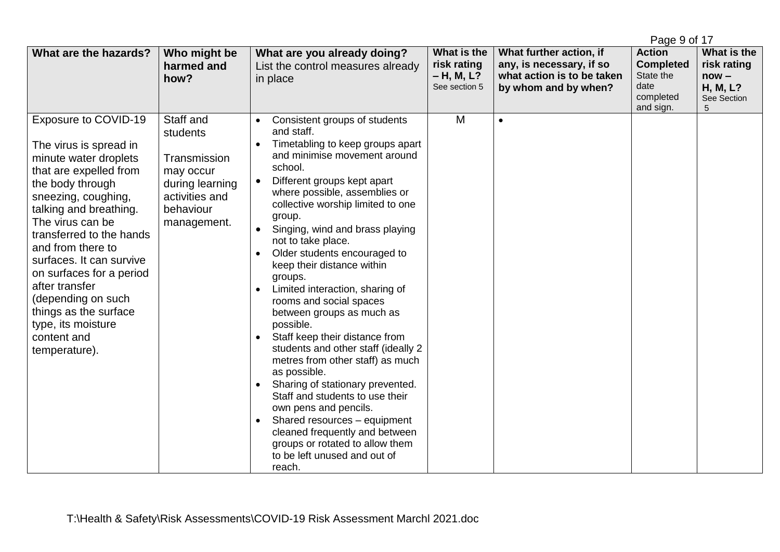|                                                                                                                                                                                                                                                                                                                                                                                                                            |                                                                                                                     |                                                                                                                                                                                                                                                                                                                                                                                                                                                                                                                                                                                                                                                                                                                                                                                                                                                                                                        |                                                             |                                                                                                           | Page 9 of 17                                                                     |                                                                       |
|----------------------------------------------------------------------------------------------------------------------------------------------------------------------------------------------------------------------------------------------------------------------------------------------------------------------------------------------------------------------------------------------------------------------------|---------------------------------------------------------------------------------------------------------------------|--------------------------------------------------------------------------------------------------------------------------------------------------------------------------------------------------------------------------------------------------------------------------------------------------------------------------------------------------------------------------------------------------------------------------------------------------------------------------------------------------------------------------------------------------------------------------------------------------------------------------------------------------------------------------------------------------------------------------------------------------------------------------------------------------------------------------------------------------------------------------------------------------------|-------------------------------------------------------------|-----------------------------------------------------------------------------------------------------------|----------------------------------------------------------------------------------|-----------------------------------------------------------------------|
| What are the hazards?                                                                                                                                                                                                                                                                                                                                                                                                      | Who might be<br>harmed and<br>how?                                                                                  | What are you already doing?<br>List the control measures already<br>in place                                                                                                                                                                                                                                                                                                                                                                                                                                                                                                                                                                                                                                                                                                                                                                                                                           | What is the<br>risk rating<br>$- H, M, L?$<br>See section 5 | What further action, if<br>any, is necessary, if so<br>what action is to be taken<br>by whom and by when? | <b>Action</b><br><b>Completed</b><br>State the<br>date<br>completed<br>and sign. | What is the<br>risk rating<br>$now -$<br>H, M, L?<br>See Section<br>5 |
| Exposure to COVID-19<br>The virus is spread in<br>minute water droplets<br>that are expelled from<br>the body through<br>sneezing, coughing,<br>talking and breathing.<br>The virus can be<br>transferred to the hands<br>and from there to<br>surfaces. It can survive<br>on surfaces for a period<br>after transfer<br>(depending on such<br>things as the surface<br>type, its moisture<br>content and<br>temperature). | Staff and<br>students<br>Transmission<br>may occur<br>during learning<br>activities and<br>behaviour<br>management. | Consistent groups of students<br>and staff.<br>Timetabling to keep groups apart<br>and minimise movement around<br>school.<br>Different groups kept apart<br>where possible, assemblies or<br>collective worship limited to one<br>group.<br>Singing, wind and brass playing<br>$\bullet$<br>not to take place.<br>Older students encouraged to<br>$\bullet$<br>keep their distance within<br>groups.<br>Limited interaction, sharing of<br>$\bullet$<br>rooms and social spaces<br>between groups as much as<br>possible.<br>Staff keep their distance from<br>students and other staff (ideally 2<br>metres from other staff) as much<br>as possible.<br>Sharing of stationary prevented.<br>Staff and students to use their<br>own pens and pencils.<br>Shared resources - equipment<br>cleaned frequently and between<br>groups or rotated to allow them<br>to be left unused and out of<br>reach. | M                                                           | $\bullet$                                                                                                 |                                                                                  |                                                                       |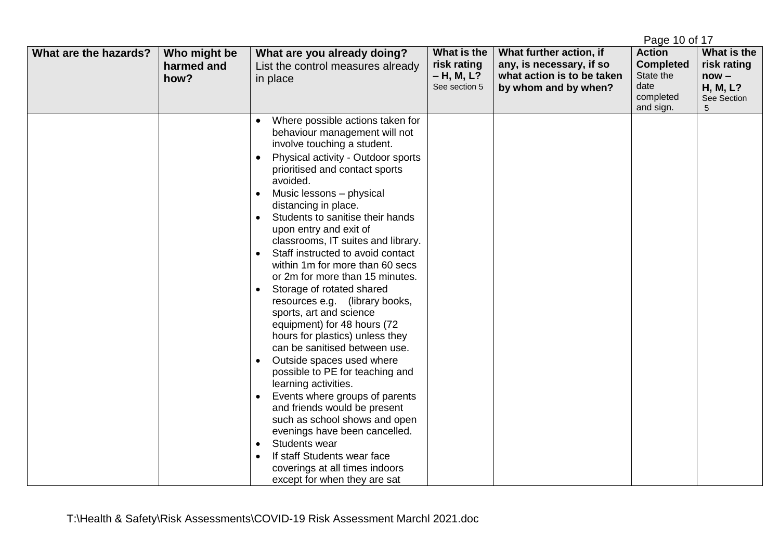|                       |                                    |                                                                                                                                                                                                                                                                                                                                                                                                                                                                                                                                                                                                                                                                                                                                                                                                                                                                                                                                                                                                                                                                                                      |                                                             |                                                                                                           | Page 10 of 17                                                                    |                                                                       |
|-----------------------|------------------------------------|------------------------------------------------------------------------------------------------------------------------------------------------------------------------------------------------------------------------------------------------------------------------------------------------------------------------------------------------------------------------------------------------------------------------------------------------------------------------------------------------------------------------------------------------------------------------------------------------------------------------------------------------------------------------------------------------------------------------------------------------------------------------------------------------------------------------------------------------------------------------------------------------------------------------------------------------------------------------------------------------------------------------------------------------------------------------------------------------------|-------------------------------------------------------------|-----------------------------------------------------------------------------------------------------------|----------------------------------------------------------------------------------|-----------------------------------------------------------------------|
| What are the hazards? | Who might be<br>harmed and<br>how? | What are you already doing?<br>List the control measures already<br>in place                                                                                                                                                                                                                                                                                                                                                                                                                                                                                                                                                                                                                                                                                                                                                                                                                                                                                                                                                                                                                         | What is the<br>risk rating<br>$- H, M, L?$<br>See section 5 | What further action, if<br>any, is necessary, if so<br>what action is to be taken<br>by whom and by when? | <b>Action</b><br><b>Completed</b><br>State the<br>date<br>completed<br>and sign. | What is the<br>risk rating<br>$now -$<br>H, M, L?<br>See Section<br>5 |
|                       |                                    | Where possible actions taken for<br>behaviour management will not<br>involve touching a student.<br>Physical activity - Outdoor sports<br>$\bullet$<br>prioritised and contact sports<br>avoided.<br>Music lessons - physical<br>$\bullet$<br>distancing in place.<br>Students to sanitise their hands<br>$\bullet$<br>upon entry and exit of<br>classrooms, IT suites and library.<br>Staff instructed to avoid contact<br>$\bullet$<br>within 1m for more than 60 secs<br>or 2m for more than 15 minutes.<br>Storage of rotated shared<br>$\bullet$<br>resources e.g. (library books,<br>sports, art and science<br>equipment) for 48 hours (72<br>hours for plastics) unless they<br>can be sanitised between use.<br>Outside spaces used where<br>possible to PE for teaching and<br>learning activities.<br>Events where groups of parents<br>and friends would be present<br>such as school shows and open<br>evenings have been cancelled.<br><b>Students wear</b><br>$\bullet$<br>If staff Students wear face<br>$\bullet$<br>coverings at all times indoors<br>except for when they are sat |                                                             |                                                                                                           |                                                                                  |                                                                       |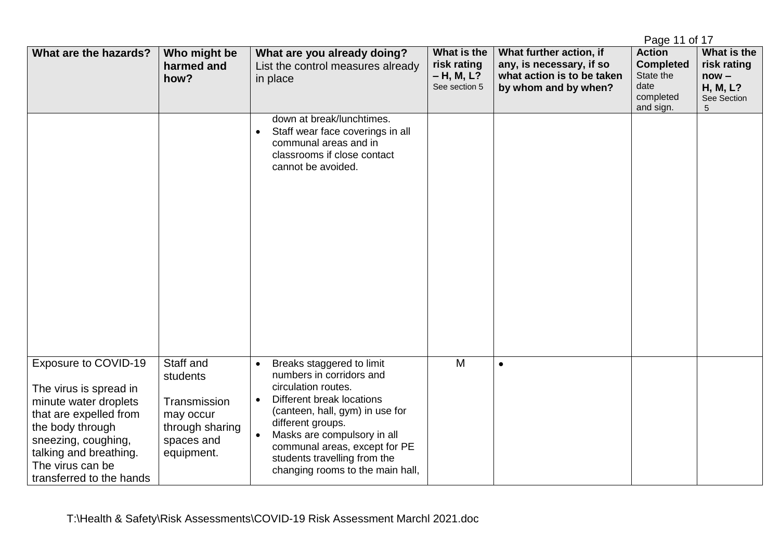|                                                                                                                                                                                                                        |                                                                                                   |                                                                                                                                                                                                                                                                                                                    |                                                           |                                                                                                           | Page 11 of 17                                                                    |                                                                       |
|------------------------------------------------------------------------------------------------------------------------------------------------------------------------------------------------------------------------|---------------------------------------------------------------------------------------------------|--------------------------------------------------------------------------------------------------------------------------------------------------------------------------------------------------------------------------------------------------------------------------------------------------------------------|-----------------------------------------------------------|-----------------------------------------------------------------------------------------------------------|----------------------------------------------------------------------------------|-----------------------------------------------------------------------|
| What are the hazards?                                                                                                                                                                                                  | Who might be<br>harmed and<br>how?                                                                | What are you already doing?<br>List the control measures already<br>in place                                                                                                                                                                                                                                       | What is the<br>risk rating<br>– H, M, L?<br>See section 5 | What further action, if<br>any, is necessary, if so<br>what action is to be taken<br>by whom and by when? | <b>Action</b><br><b>Completed</b><br>State the<br>date<br>completed<br>and sign. | What is the<br>risk rating<br>$now -$<br>H, M, L?<br>See Section<br>5 |
|                                                                                                                                                                                                                        |                                                                                                   | down at break/lunchtimes.<br>Staff wear face coverings in all<br>$\bullet$<br>communal areas and in<br>classrooms if close contact<br>cannot be avoided.                                                                                                                                                           |                                                           |                                                                                                           |                                                                                  |                                                                       |
| Exposure to COVID-19<br>The virus is spread in<br>minute water droplets<br>that are expelled from<br>the body through<br>sneezing, coughing,<br>talking and breathing.<br>The virus can be<br>transferred to the hands | Staff and<br>students<br>Transmission<br>may occur<br>through sharing<br>spaces and<br>equipment. | Breaks staggered to limit<br>numbers in corridors and<br>circulation routes.<br>Different break locations<br>$\bullet$<br>(canteen, hall, gym) in use for<br>different groups.<br>Masks are compulsory in all<br>communal areas, except for PE<br>students travelling from the<br>changing rooms to the main hall, | M                                                         | $\bullet$                                                                                                 |                                                                                  |                                                                       |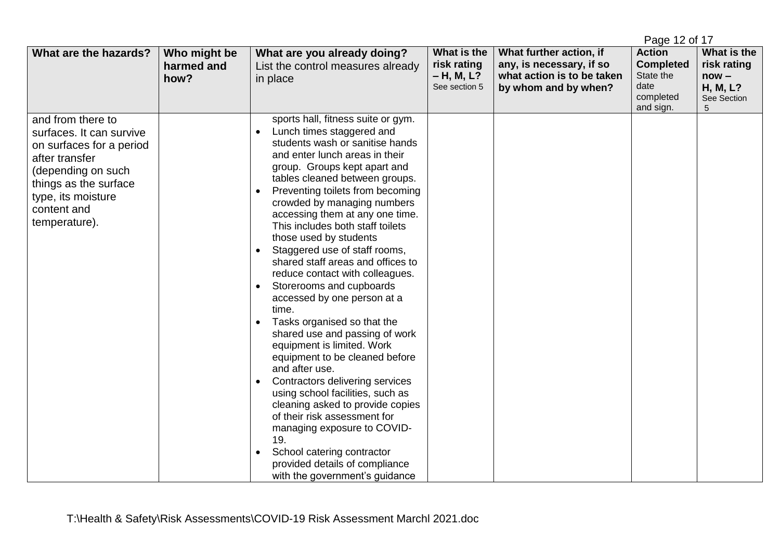|                                                                                                                                                                                                  |                                    |                                                                                                                                                                                                                                                                                                                                                                                                                                                                                                                                                                                                                                                                                                                                                                                                                                                                                                                                                                                                            |                                                             |                                                                                                           | Page 12 of 17                                                                    |                                                                       |
|--------------------------------------------------------------------------------------------------------------------------------------------------------------------------------------------------|------------------------------------|------------------------------------------------------------------------------------------------------------------------------------------------------------------------------------------------------------------------------------------------------------------------------------------------------------------------------------------------------------------------------------------------------------------------------------------------------------------------------------------------------------------------------------------------------------------------------------------------------------------------------------------------------------------------------------------------------------------------------------------------------------------------------------------------------------------------------------------------------------------------------------------------------------------------------------------------------------------------------------------------------------|-------------------------------------------------------------|-----------------------------------------------------------------------------------------------------------|----------------------------------------------------------------------------------|-----------------------------------------------------------------------|
| What are the hazards?                                                                                                                                                                            | Who might be<br>harmed and<br>how? | What are you already doing?<br>List the control measures already<br>in place                                                                                                                                                                                                                                                                                                                                                                                                                                                                                                                                                                                                                                                                                                                                                                                                                                                                                                                               | What is the<br>risk rating<br>$- H, M, L?$<br>See section 5 | What further action, if<br>any, is necessary, if so<br>what action is to be taken<br>by whom and by when? | <b>Action</b><br><b>Completed</b><br>State the<br>date<br>completed<br>and sign. | What is the<br>risk rating<br>$now -$<br>H, M, L?<br>See Section<br>5 |
| and from there to<br>surfaces. It can survive<br>on surfaces for a period<br>after transfer<br>(depending on such<br>things as the surface<br>type, its moisture<br>content and<br>temperature). |                                    | sports hall, fitness suite or gym.<br>Lunch times staggered and<br>$\bullet$<br>students wash or sanitise hands<br>and enter lunch areas in their<br>group. Groups kept apart and<br>tables cleaned between groups.<br>Preventing toilets from becoming<br>crowded by managing numbers<br>accessing them at any one time.<br>This includes both staff toilets<br>those used by students<br>Staggered use of staff rooms,<br>shared staff areas and offices to<br>reduce contact with colleagues.<br>Storerooms and cupboards<br>accessed by one person at a<br>time.<br>Tasks organised so that the<br>shared use and passing of work<br>equipment is limited. Work<br>equipment to be cleaned before<br>and after use.<br>Contractors delivering services<br>using school facilities, such as<br>cleaning asked to provide copies<br>of their risk assessment for<br>managing exposure to COVID-<br>19.<br>School catering contractor<br>provided details of compliance<br>with the government's guidance |                                                             |                                                                                                           |                                                                                  |                                                                       |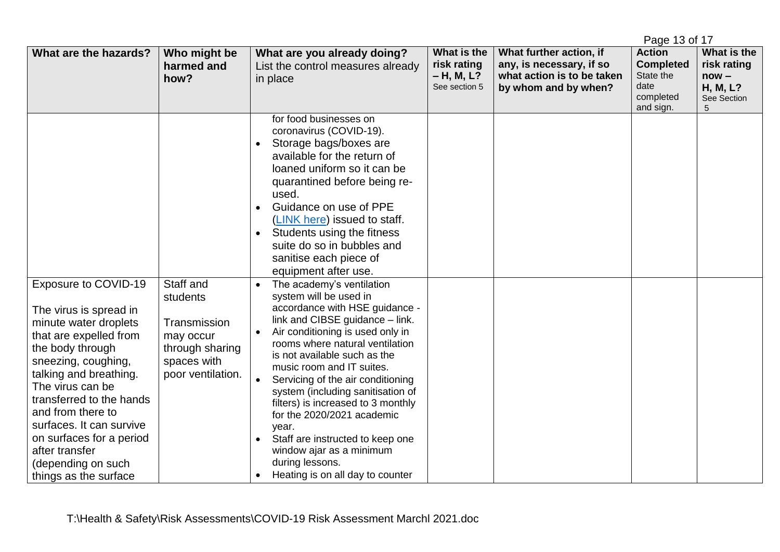|                                                                                                                                                                                                                                                                                                                                                                      |                                                                                                           |                                                                                                                                                                                                                                                                                                                                                                                                                                                                                                                                                                                                                                                                                                                                                                                                                                                                                                                                                              |                                                           |                                                                                                           | Page 13 of 17                                                                    |                                                                       |
|----------------------------------------------------------------------------------------------------------------------------------------------------------------------------------------------------------------------------------------------------------------------------------------------------------------------------------------------------------------------|-----------------------------------------------------------------------------------------------------------|--------------------------------------------------------------------------------------------------------------------------------------------------------------------------------------------------------------------------------------------------------------------------------------------------------------------------------------------------------------------------------------------------------------------------------------------------------------------------------------------------------------------------------------------------------------------------------------------------------------------------------------------------------------------------------------------------------------------------------------------------------------------------------------------------------------------------------------------------------------------------------------------------------------------------------------------------------------|-----------------------------------------------------------|-----------------------------------------------------------------------------------------------------------|----------------------------------------------------------------------------------|-----------------------------------------------------------------------|
| What are the hazards?                                                                                                                                                                                                                                                                                                                                                | Who might be<br>harmed and<br>how?                                                                        | What are you already doing?<br>List the control measures already<br>in place                                                                                                                                                                                                                                                                                                                                                                                                                                                                                                                                                                                                                                                                                                                                                                                                                                                                                 | What is the<br>risk rating<br>– H, M, L?<br>See section 5 | What further action, if<br>any, is necessary, if so<br>what action is to be taken<br>by whom and by when? | <b>Action</b><br><b>Completed</b><br>State the<br>date<br>completed<br>and sign. | What is the<br>risk rating<br>$now -$<br>H, M, L?<br>See Section<br>5 |
| Exposure to COVID-19<br>The virus is spread in<br>minute water droplets<br>that are expelled from<br>the body through<br>sneezing, coughing,<br>talking and breathing.<br>The virus can be<br>transferred to the hands<br>and from there to<br>surfaces. It can survive<br>on surfaces for a period<br>after transfer<br>(depending on such<br>things as the surface | Staff and<br>students<br>Transmission<br>may occur<br>through sharing<br>spaces with<br>poor ventilation. | for food businesses on<br>coronavirus (COVID-19).<br>Storage bags/boxes are<br>$\bullet$<br>available for the return of<br>loaned uniform so it can be<br>quarantined before being re-<br>used.<br>Guidance on use of PPE<br>(LINK here) issued to staff.<br>Students using the fitness<br>suite do so in bubbles and<br>sanitise each piece of<br>equipment after use.<br>The academy's ventilation<br>$\bullet$<br>system will be used in<br>accordance with HSE guidance -<br>link and CIBSE guidance - link.<br>Air conditioning is used only in<br>rooms where natural ventilation<br>is not available such as the<br>music room and IT suites.<br>Servicing of the air conditioning<br>system (including sanitisation of<br>filters) is increased to 3 monthly<br>for the 2020/2021 academic<br>year.<br>Staff are instructed to keep one<br>$\bullet$<br>window ajar as a minimum<br>during lessons.<br>Heating is on all day to counter<br>$\bullet$ |                                                           |                                                                                                           |                                                                                  |                                                                       |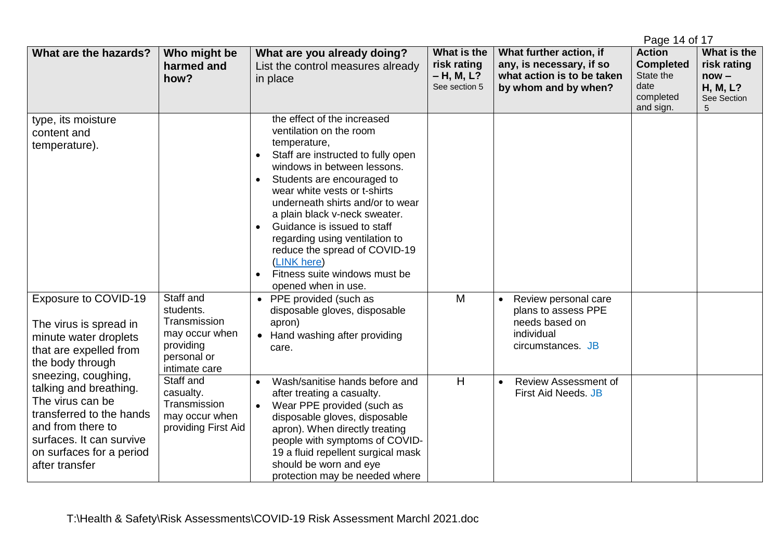|                                                                                                                                                                                                                                                                                                                       |                                                                                                       |                                                                                                                                                                                                                                                                                                                                                                                                                                                                                                |                                                             |                                                                                                               | Page 14 of 17                                                                    |                                                                              |
|-----------------------------------------------------------------------------------------------------------------------------------------------------------------------------------------------------------------------------------------------------------------------------------------------------------------------|-------------------------------------------------------------------------------------------------------|------------------------------------------------------------------------------------------------------------------------------------------------------------------------------------------------------------------------------------------------------------------------------------------------------------------------------------------------------------------------------------------------------------------------------------------------------------------------------------------------|-------------------------------------------------------------|---------------------------------------------------------------------------------------------------------------|----------------------------------------------------------------------------------|------------------------------------------------------------------------------|
| What are the hazards?                                                                                                                                                                                                                                                                                                 | Who might be<br>harmed and<br>how?                                                                    | What are you already doing?<br>List the control measures already<br>in place                                                                                                                                                                                                                                                                                                                                                                                                                   | What is the<br>risk rating<br>$- H, M, L?$<br>See section 5 | What further action, if<br>any, is necessary, if so<br>what action is to be taken<br>by whom and by when?     | <b>Action</b><br><b>Completed</b><br>State the<br>date<br>completed<br>and sign. | What is the<br>risk rating<br>$now -$<br><b>H, M, L?</b><br>See Section<br>5 |
| type, its moisture<br>content and<br>temperature).                                                                                                                                                                                                                                                                    |                                                                                                       | the effect of the increased<br>ventilation on the room<br>temperature,<br>Staff are instructed to fully open<br>$\bullet$<br>windows in between lessons.<br>Students are encouraged to<br>$\bullet$<br>wear white vests or t-shirts<br>underneath shirts and/or to wear<br>a plain black v-neck sweater.<br>Guidance is issued to staff<br>$\bullet$<br>regarding using ventilation to<br>reduce the spread of COVID-19<br>(LINK here)<br>Fitness suite windows must be<br>opened when in use. |                                                             |                                                                                                               |                                                                                  |                                                                              |
| Exposure to COVID-19<br>The virus is spread in<br>minute water droplets<br>that are expelled from<br>the body through<br>sneezing, coughing,<br>talking and breathing.<br>The virus can be<br>transferred to the hands<br>and from there to<br>surfaces. It can survive<br>on surfaces for a period<br>after transfer | Staff and<br>students.<br>Transmission<br>may occur when<br>providing<br>personal or<br>intimate care | • PPE provided (such as<br>disposable gloves, disposable<br>apron)<br>Hand washing after providing<br>$\bullet$<br>care.                                                                                                                                                                                                                                                                                                                                                                       | M                                                           | Review personal care<br>$\bullet$<br>plans to assess PPE<br>needs based on<br>individual<br>circumstances. JB |                                                                                  |                                                                              |
|                                                                                                                                                                                                                                                                                                                       | Staff and<br>casualty.<br>Transmission<br>may occur when<br>providing First Aid                       | Wash/sanitise hands before and<br>$\bullet$<br>after treating a casualty.<br>Wear PPE provided (such as<br>$\bullet$<br>disposable gloves, disposable<br>apron). When directly treating<br>people with symptoms of COVID-<br>19 a fluid repellent surgical mask<br>should be worn and eye<br>protection may be needed where                                                                                                                                                                    | H                                                           | Review Assessment of<br>$\bullet$<br><b>First Aid Needs. JB</b>                                               |                                                                                  |                                                                              |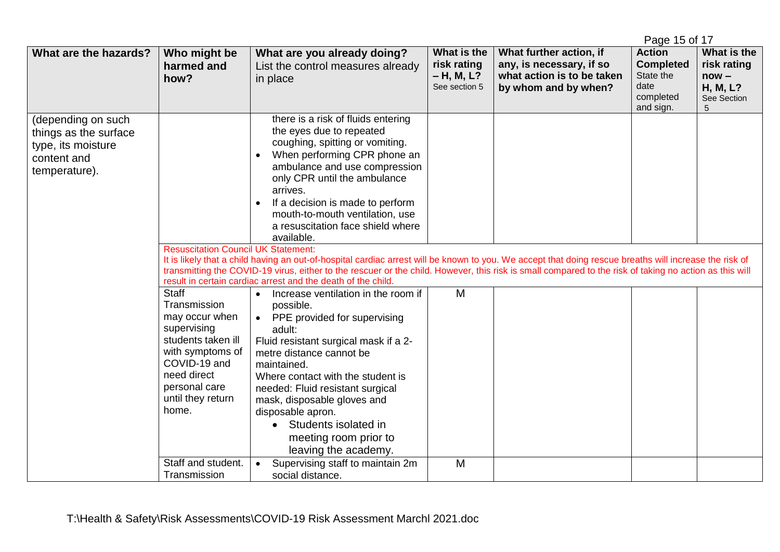|                                                                                                   |                                                                                                                                                                                |                                                                                                                                                                                                                                                                                                                                                                                                                                                                                                                                                                                                                                                                                                                                                        |                                                             |                                                                                                           | Page 15 of 17                                                                    |                                                                              |
|---------------------------------------------------------------------------------------------------|--------------------------------------------------------------------------------------------------------------------------------------------------------------------------------|--------------------------------------------------------------------------------------------------------------------------------------------------------------------------------------------------------------------------------------------------------------------------------------------------------------------------------------------------------------------------------------------------------------------------------------------------------------------------------------------------------------------------------------------------------------------------------------------------------------------------------------------------------------------------------------------------------------------------------------------------------|-------------------------------------------------------------|-----------------------------------------------------------------------------------------------------------|----------------------------------------------------------------------------------|------------------------------------------------------------------------------|
| What are the hazards?                                                                             | Who might be<br>harmed and<br>how?                                                                                                                                             | What are you already doing?<br>List the control measures already<br>in place                                                                                                                                                                                                                                                                                                                                                                                                                                                                                                                                                                                                                                                                           | What is the<br>risk rating<br>$- H, M, L?$<br>See section 5 | What further action, if<br>any, is necessary, if so<br>what action is to be taken<br>by whom and by when? | <b>Action</b><br><b>Completed</b><br>State the<br>date<br>completed<br>and sign. | What is the<br>risk rating<br>$now -$<br><b>H, M, L?</b><br>See Section<br>5 |
| (depending on such<br>things as the surface<br>type, its moisture<br>content and<br>temperature). | <b>Resuscitation Council UK Statement:</b>                                                                                                                                     | there is a risk of fluids entering<br>the eyes due to repeated<br>coughing, spitting or vomiting.<br>When performing CPR phone an<br>$\bullet$<br>ambulance and use compression<br>only CPR until the ambulance<br>arrives.<br>If a decision is made to perform<br>$\bullet$<br>mouth-to-mouth ventilation, use<br>a resuscitation face shield where<br>available.<br>It is likely that a child having an out-of-hospital cardiac arrest will be known to you. We accept that doing rescue breaths will increase the risk of<br>transmitting the COVID-19 virus, either to the rescuer or the child. However, this risk is small compared to the risk of taking no action as this will<br>result in certain cardiac arrest and the death of the child. |                                                             |                                                                                                           |                                                                                  |                                                                              |
|                                                                                                   | Staff<br>Transmission<br>may occur when<br>supervising<br>students taken ill<br>with symptoms of<br>COVID-19 and<br>need direct<br>personal care<br>until they return<br>home. | Increase ventilation in the room if<br>$\bullet$<br>possible.<br>PPE provided for supervising<br>$\bullet$<br>adult:<br>Fluid resistant surgical mask if a 2-<br>metre distance cannot be<br>maintained.<br>Where contact with the student is<br>needed: Fluid resistant surgical<br>mask, disposable gloves and<br>disposable apron.<br>Students isolated in<br>meeting room prior to<br>leaving the academy.                                                                                                                                                                                                                                                                                                                                         | M                                                           |                                                                                                           |                                                                                  |                                                                              |
|                                                                                                   | Staff and student.<br>Transmission                                                                                                                                             | Supervising staff to maintain 2m<br>$\bullet$<br>social distance.                                                                                                                                                                                                                                                                                                                                                                                                                                                                                                                                                                                                                                                                                      | M                                                           |                                                                                                           |                                                                                  |                                                                              |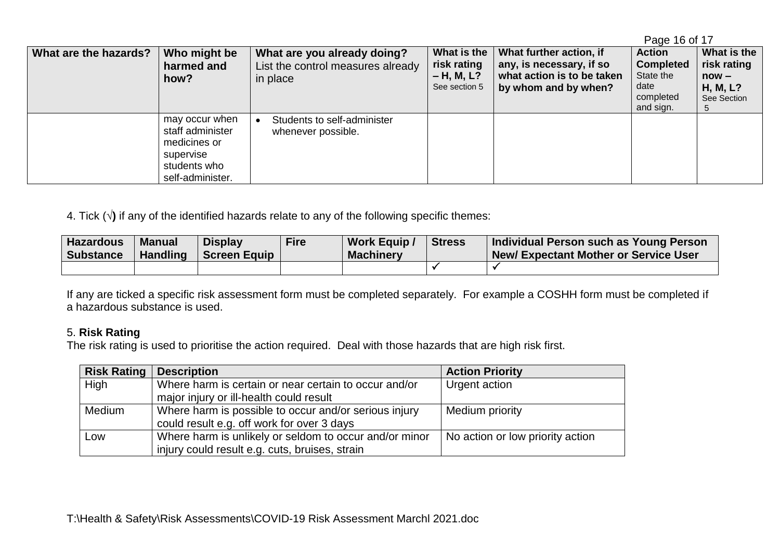|                       |                  |                                   |               |                            | ayc TO OI TT     |             |
|-----------------------|------------------|-----------------------------------|---------------|----------------------------|------------------|-------------|
| What are the hazards? | Who might be     | What are you already doing?       | What is the   | What further action, if    | <b>Action</b>    | What is the |
|                       | harmed and       | List the control measures already | risk rating   | any, is necessary, if so   | <b>Completed</b> | risk rating |
|                       | how?             | in place                          | $- H, M, L?$  | what action is to be taken | State the        | $now -$     |
|                       |                  |                                   | See section 5 | by whom and by when?       | date             | H, M, L?    |
|                       |                  |                                   |               |                            | completed        | See Section |
|                       |                  |                                   |               |                            | and sign.        |             |
|                       | may occur when   | Students to self-administer       |               |                            |                  |             |
|                       | staff administer | whenever possible.                |               |                            |                  |             |
|                       | medicines or     |                                   |               |                            |                  |             |
|                       | supervise        |                                   |               |                            |                  |             |
|                       | students who     |                                   |               |                            |                  |             |
|                       | self-administer. |                                   |               |                            |                  |             |
|                       |                  |                                   |               |                            |                  |             |

Page 16 of 17

4. Tick (**√)** if any of the identified hazards relate to any of the following specific themes:

| <b>Hazardous</b><br><b>Substance</b> | <b>Manual</b><br><b>Handling</b> | <b>Display</b><br>Screen Equip | <b>Fire</b> | <b>Work Equip /</b><br><b>Machinery</b> | Stress | Individual Person such as Young Person<br><b>New/Expectant Mother or Service User</b> |
|--------------------------------------|----------------------------------|--------------------------------|-------------|-----------------------------------------|--------|---------------------------------------------------------------------------------------|
|                                      |                                  |                                |             |                                         |        |                                                                                       |

If any are ticked a specific risk assessment form must be completed separately. For example a COSHH form must be completed if a hazardous substance is used.

## 5. **Risk Rating**

The risk rating is used to prioritise the action required. Deal with those hazards that are high risk first.

| <b>Risk Rating</b> | <b>Description</b>                                     | <b>Action Priority</b>           |
|--------------------|--------------------------------------------------------|----------------------------------|
| High               | Where harm is certain or near certain to occur and/or  | Urgent action                    |
|                    | major injury or ill-health could result                |                                  |
| Medium             | Where harm is possible to occur and/or serious injury  | Medium priority                  |
|                    | could result e.g. off work for over 3 days             |                                  |
| Low                | Where harm is unlikely or seldom to occur and/or minor | No action or low priority action |
|                    | injury could result e.g. cuts, bruises, strain         |                                  |